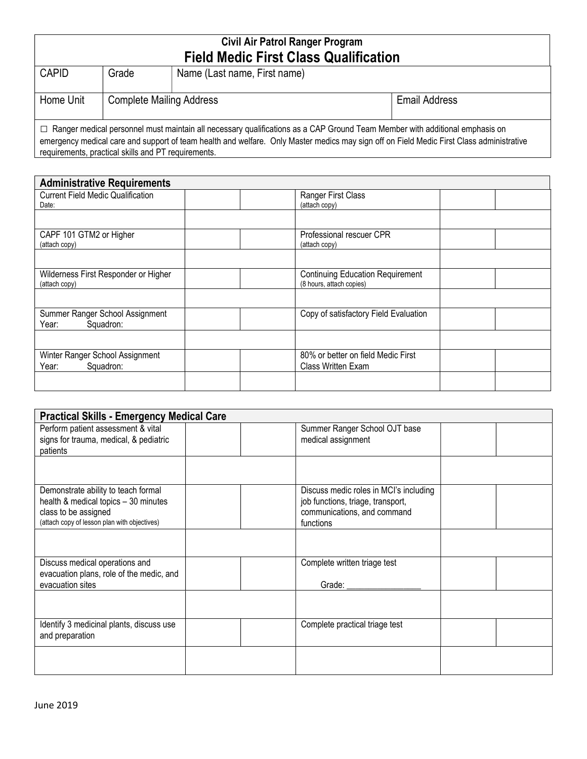## Civil Air Patrol Ranger Program Field Medic First Class Qualification

| <b>CAPID</b>                                                                                                                                                                                                                                                                                                                          | Grade                           | Name (Last name, First name) |                      |  |  |  |
|---------------------------------------------------------------------------------------------------------------------------------------------------------------------------------------------------------------------------------------------------------------------------------------------------------------------------------------|---------------------------------|------------------------------|----------------------|--|--|--|
| Home Unit                                                                                                                                                                                                                                                                                                                             | <b>Complete Mailing Address</b> |                              | <b>Email Address</b> |  |  |  |
| $\Box$ Ranger medical personnel must maintain all necessary qualifications as a CAP Ground Team Member with additional emphasis on<br>emergency medical care and support of team health and welfare. Only Master medics may sign off on Field Medic First Class administrative<br>requirements, practical skills and PT requirements. |                                 |                              |                      |  |  |  |

| <b>Administrative Requirements</b>                    |                                                                     |  |  |  |  |  |
|-------------------------------------------------------|---------------------------------------------------------------------|--|--|--|--|--|
| <b>Current Field Medic Qualification</b><br>Date:     | Ranger First Class<br>(attach copy)                                 |  |  |  |  |  |
|                                                       |                                                                     |  |  |  |  |  |
| CAPF 101 GTM2 or Higher<br>(attach copy)              | Professional rescuer CPR<br>(attach copy)                           |  |  |  |  |  |
|                                                       |                                                                     |  |  |  |  |  |
| Wilderness First Responder or Higher<br>(attach copy) | <b>Continuing Education Requirement</b><br>(8 hours, attach copies) |  |  |  |  |  |
|                                                       |                                                                     |  |  |  |  |  |
| Summer Ranger School Assignment<br>Squadron:<br>Year: | Copy of satisfactory Field Evaluation                               |  |  |  |  |  |
|                                                       |                                                                     |  |  |  |  |  |
| Winter Ranger School Assignment<br>Squadron:<br>Year: | 80% or better on field Medic First<br>Class Written Exam            |  |  |  |  |  |
|                                                       |                                                                     |  |  |  |  |  |

| <b>Practical Skills - Emergency Medical Care</b>                     |  |                                        |  |  |  |  |
|----------------------------------------------------------------------|--|----------------------------------------|--|--|--|--|
| Perform patient assessment & vital                                   |  | Summer Ranger School OJT base          |  |  |  |  |
| signs for trauma, medical, & pediatric                               |  | medical assignment                     |  |  |  |  |
| patients                                                             |  |                                        |  |  |  |  |
|                                                                      |  |                                        |  |  |  |  |
| Demonstrate ability to teach formal                                  |  | Discuss medic roles in MCI's including |  |  |  |  |
| health & medical topics - 30 minutes                                 |  | job functions, triage, transport,      |  |  |  |  |
| class to be assigned<br>(attach copy of lesson plan with objectives) |  | communications, and command            |  |  |  |  |
|                                                                      |  | functions                              |  |  |  |  |
|                                                                      |  |                                        |  |  |  |  |
| Discuss medical operations and                                       |  | Complete written triage test           |  |  |  |  |
| evacuation plans, role of the medic, and                             |  |                                        |  |  |  |  |
| evacuation sites                                                     |  | Grade: _________                       |  |  |  |  |
|                                                                      |  |                                        |  |  |  |  |
| Identify 3 medicinal plants, discuss use                             |  | Complete practical triage test         |  |  |  |  |
| and preparation                                                      |  |                                        |  |  |  |  |
|                                                                      |  |                                        |  |  |  |  |
|                                                                      |  |                                        |  |  |  |  |